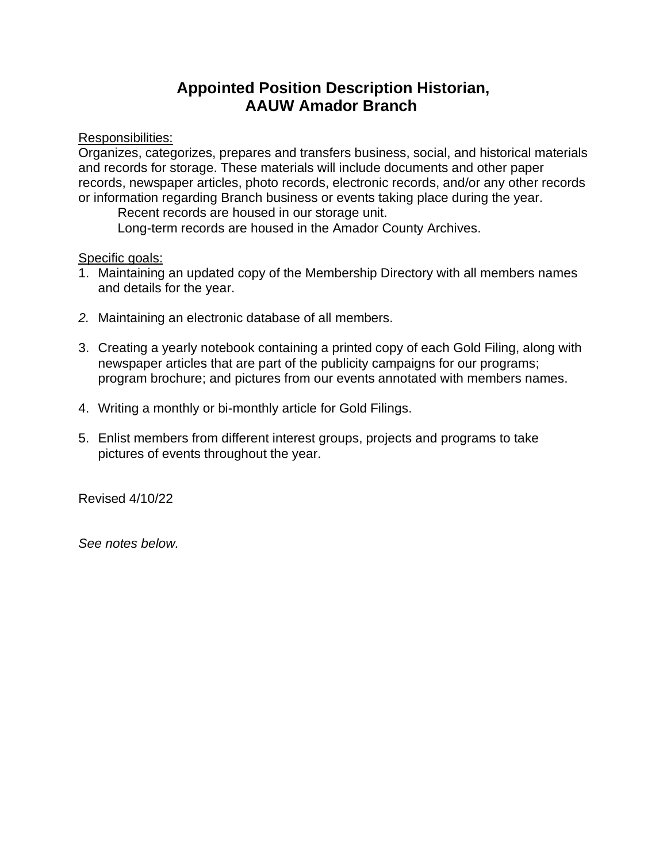## **Appointed Position Description Historian, AAUW Amador Branch**

Responsibilities:

Organizes, categorizes, prepares and transfers business, social, and historical materials and records for storage. These materials will include documents and other paper records, newspaper articles, photo records, electronic records, and/or any other records or information regarding Branch business or events taking place during the year.

Recent records are housed in our storage unit. Long-term records are housed in the Amador County Archives.

## Specific goals:

- 1. Maintaining an updated copy of the Membership Directory with all members names and details for the year.
- *2.* Maintaining an electronic database of all members.
- 3. Creating a yearly notebook containing a printed copy of each Gold Filing, along with newspaper articles that are part of the publicity campaigns for our programs; program brochure; and pictures from our events annotated with members names.
- 4. Writing a monthly or bi-monthly article for Gold Filings.
- 5. Enlist members from different interest groups, projects and programs to take pictures of events throughout the year.

Revised 4/10/22

*See notes below.*